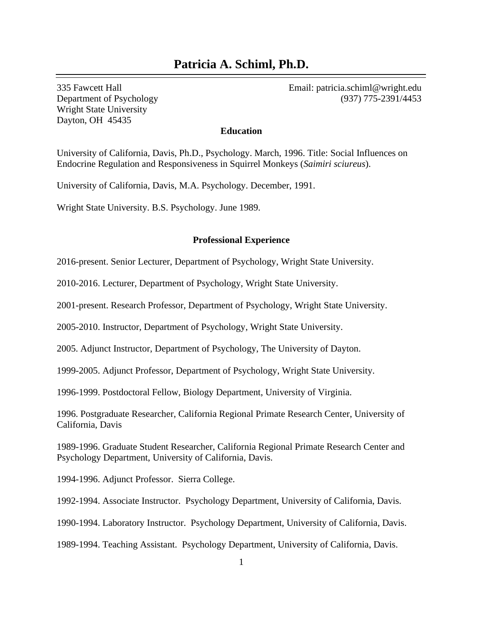# **Patricia A. Schiml, Ph.D.**

Wright State University Dayton, OH 45435

335 Fawcett Hall Email: patricia.schiml@wright.edu Department of Psychology (937) 775-2391/4453

#### **Education**

University of California, Davis, Ph.D., Psychology. March, 1996. Title: Social Influences on Endocrine Regulation and Responsiveness in Squirrel Monkeys (*Saimiri sciureus*).

University of California, Davis, M.A. Psychology. December, 1991.

Wright State University. B.S. Psychology. June 1989.

#### **Professional Experience**

2016-present. Senior Lecturer, Department of Psychology, Wright State University.

2010-2016. Lecturer, Department of Psychology, Wright State University.

2001-present. Research Professor, Department of Psychology, Wright State University.

2005-2010. Instructor, Department of Psychology, Wright State University.

2005. Adjunct Instructor, Department of Psychology, The University of Dayton.

1999-2005. Adjunct Professor, Department of Psychology, Wright State University.

1996-1999. Postdoctoral Fellow, Biology Department, University of Virginia.

1996. Postgraduate Researcher, California Regional Primate Research Center, University of California, Davis

1989-1996. Graduate Student Researcher, California Regional Primate Research Center and Psychology Department, University of California, Davis.

1994-1996. Adjunct Professor. Sierra College.

1992-1994. Associate Instructor. Psychology Department, University of California, Davis.

1990-1994. Laboratory Instructor. Psychology Department, University of California, Davis.

1989-1994. Teaching Assistant. Psychology Department, University of California, Davis.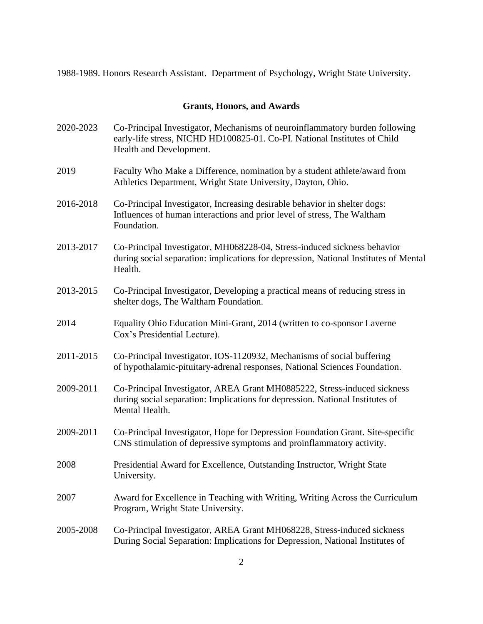1988-1989. Honors Research Assistant. Department of Psychology, Wright State University.

### **Grants, Honors, and Awards**

- 2020-2023 Co-Principal Investigator, Mechanisms of neuroinflammatory burden following early-life stress, NICHD HD100825-01. Co-PI. National Institutes of Child Health and Development.
- 2019 Faculty Who Make a Difference, nomination by a student athlete/award from Athletics Department, Wright State University, Dayton, Ohio.
- 2016-2018 Co-Principal Investigator, Increasing desirable behavior in shelter dogs: Influences of human interactions and prior level of stress, The Waltham Foundation.
- 2013-2017 Co-Principal Investigator, MH068228-04, Stress-induced sickness behavior during social separation: implications for depression, National Institutes of Mental Health.
- 2013-2015 Co-Principal Investigator, Developing a practical means of reducing stress in shelter dogs, The Waltham Foundation.
- 2014 Equality Ohio Education Mini-Grant, 2014 (written to co-sponsor Laverne Cox's Presidential Lecture).
- 2011-2015 Co-Principal Investigator, IOS-1120932, Mechanisms of social buffering of hypothalamic-pituitary-adrenal responses, National Sciences Foundation.
- 2009-2011 Co-Principal Investigator, AREA Grant MH0885222, Stress-induced sickness during social separation: Implications for depression. National Institutes of Mental Health.
- 2009-2011 Co-Principal Investigator, Hope for Depression Foundation Grant. Site-specific CNS stimulation of depressive symptoms and proinflammatory activity.
- 2008 Presidential Award for Excellence, Outstanding Instructor, Wright State University.
- 2007 Award for Excellence in Teaching with Writing, Writing Across the Curriculum Program, Wright State University.

2005-2008 Co-Principal Investigator, AREA Grant MH068228, Stress-induced sickness During Social Separation: Implications for Depression, National Institutes of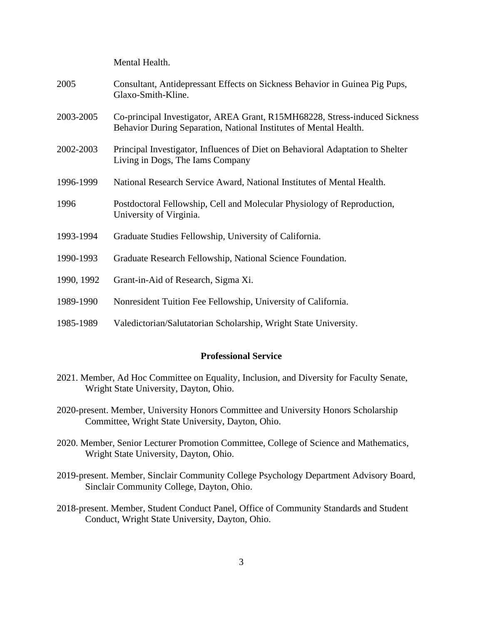Mental Health.

| 2005       | Consultant, Antidepressant Effects on Sickness Behavior in Guinea Pig Pups,<br>Glaxo-Smith-Kline.                                               |
|------------|-------------------------------------------------------------------------------------------------------------------------------------------------|
| 2003-2005  | Co-principal Investigator, AREA Grant, R15MH68228, Stress-induced Sickness<br>Behavior During Separation, National Institutes of Mental Health. |
| 2002-2003  | Principal Investigator, Influences of Diet on Behavioral Adaptation to Shelter<br>Living in Dogs, The Iams Company                              |
| 1996-1999  | National Research Service Award, National Institutes of Mental Health.                                                                          |
| 1996       | Postdoctoral Fellowship, Cell and Molecular Physiology of Reproduction,<br>University of Virginia.                                              |
| 1993-1994  | Graduate Studies Fellowship, University of California.                                                                                          |
| 1990-1993  | Graduate Research Fellowship, National Science Foundation.                                                                                      |
| 1990, 1992 | Grant-in-Aid of Research, Sigma Xi.                                                                                                             |
| 1989-1990  | Nonresident Tuition Fee Fellowship, University of California.                                                                                   |
| 1985-1989  | Valedictorian/Salutatorian Scholarship, Wright State University.                                                                                |

## **Professional Service**

- 2021. Member, Ad Hoc Committee on Equality, Inclusion, and Diversity for Faculty Senate, Wright State University, Dayton, Ohio.
- 2020-present. Member, University Honors Committee and University Honors Scholarship Committee, Wright State University, Dayton, Ohio.
- 2020. Member, Senior Lecturer Promotion Committee, College of Science and Mathematics, Wright State University, Dayton, Ohio.
- 2019-present. Member, Sinclair Community College Psychology Department Advisory Board, Sinclair Community College, Dayton, Ohio.
- 2018-present. Member, Student Conduct Panel, Office of Community Standards and Student Conduct, Wright State University, Dayton, Ohio.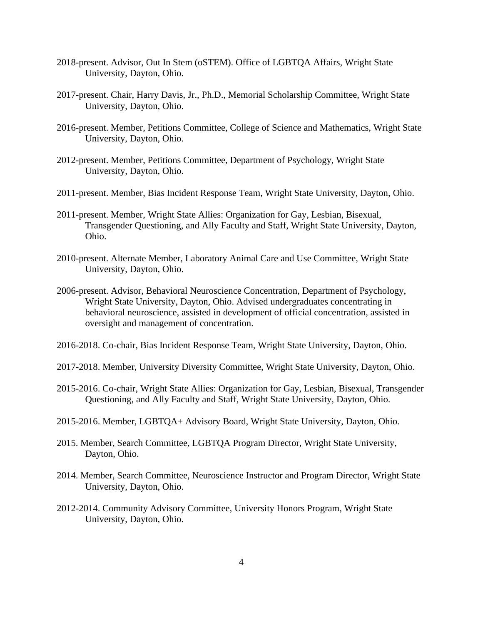- 2018-present. Advisor, Out In Stem (oSTEM). Office of LGBTQA Affairs, Wright State University, Dayton, Ohio.
- 2017-present. Chair, Harry Davis, Jr., Ph.D., Memorial Scholarship Committee, Wright State University, Dayton, Ohio.
- 2016-present. Member, Petitions Committee, College of Science and Mathematics, Wright State University, Dayton, Ohio.
- 2012-present. Member, Petitions Committee, Department of Psychology, Wright State University, Dayton, Ohio.
- 2011-present. Member, Bias Incident Response Team, Wright State University, Dayton, Ohio.
- 2011-present. Member, Wright State Allies: Organization for Gay, Lesbian, Bisexual, Transgender Questioning, and Ally Faculty and Staff, Wright State University, Dayton, Ohio.
- 2010-present. Alternate Member, Laboratory Animal Care and Use Committee, Wright State University, Dayton, Ohio.
- 2006-present. Advisor, Behavioral Neuroscience Concentration, Department of Psychology, Wright State University, Dayton, Ohio. Advised undergraduates concentrating in behavioral neuroscience, assisted in development of official concentration, assisted in oversight and management of concentration.
- 2016-2018. Co-chair, Bias Incident Response Team, Wright State University, Dayton, Ohio.
- 2017-2018. Member, University Diversity Committee, Wright State University, Dayton, Ohio.
- 2015-2016. Co-chair, Wright State Allies: Organization for Gay, Lesbian, Bisexual, Transgender Questioning, and Ally Faculty and Staff, Wright State University, Dayton, Ohio.
- 2015-2016. Member, LGBTQA+ Advisory Board, Wright State University, Dayton, Ohio.
- 2015. Member, Search Committee, LGBTQA Program Director, Wright State University, Dayton, Ohio.
- 2014. Member, Search Committee, Neuroscience Instructor and Program Director, Wright State University, Dayton, Ohio.
- 2012-2014. Community Advisory Committee, University Honors Program, Wright State University, Dayton, Ohio.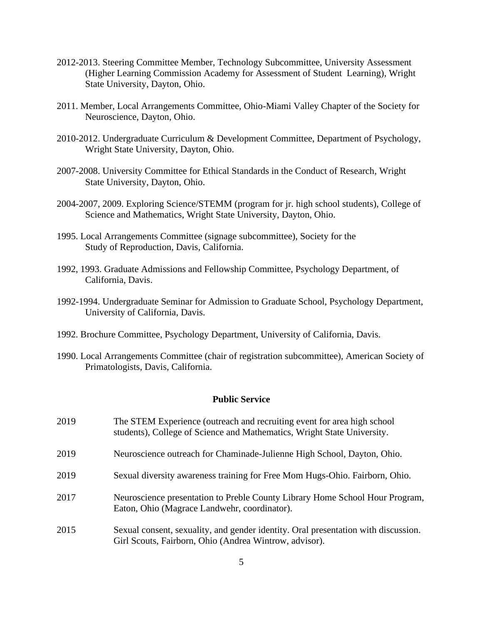- 2012-2013. Steering Committee Member, Technology Subcommittee, University Assessment (Higher Learning Commission Academy for Assessment of Student Learning), Wright State University, Dayton, Ohio.
- 2011. Member, Local Arrangements Committee, Ohio-Miami Valley Chapter of the Society for Neuroscience, Dayton, Ohio.
- 2010-2012. Undergraduate Curriculum & Development Committee, Department of Psychology, Wright State University, Dayton, Ohio.
- 2007-2008. University Committee for Ethical Standards in the Conduct of Research, Wright State University, Dayton, Ohio.
- 2004-2007, 2009. Exploring Science/STEMM (program for jr. high school students), College of Science and Mathematics, Wright State University, Dayton, Ohio.
- 1995. Local Arrangements Committee (signage subcommittee), Society for the Study of Reproduction, Davis, California.
- 1992, 1993. Graduate Admissions and Fellowship Committee, Psychology Department, of California, Davis.
- 1992-1994. Undergraduate Seminar for Admission to Graduate School, Psychology Department, University of California, Davis.
- 1992. Brochure Committee, Psychology Department, University of California, Davis.
- 1990. Local Arrangements Committee (chair of registration subcommittee), American Society of Primatologists, Davis, California.

## **Public Service**

| 2019 | The STEM Experience (outreach and recruiting event for area high school)<br>students), College of Science and Mathematics, Wright State University. |
|------|-----------------------------------------------------------------------------------------------------------------------------------------------------|
| 2019 | Neuroscience outreach for Chaminade-Julienne High School, Dayton, Ohio.                                                                             |
| 2019 | Sexual diversity awareness training for Free Mom Hugs-Ohio. Fairborn, Ohio.                                                                         |
| 2017 | Neuroscience presentation to Preble County Library Home School Hour Program,<br>Eaton, Ohio (Magrace Landwehr, coordinator).                        |
| 2015 | Sexual consent, sexuality, and gender identity. Oral presentation with discussion.<br>Girl Scouts, Fairborn, Ohio (Andrea Wintrow, advisor).        |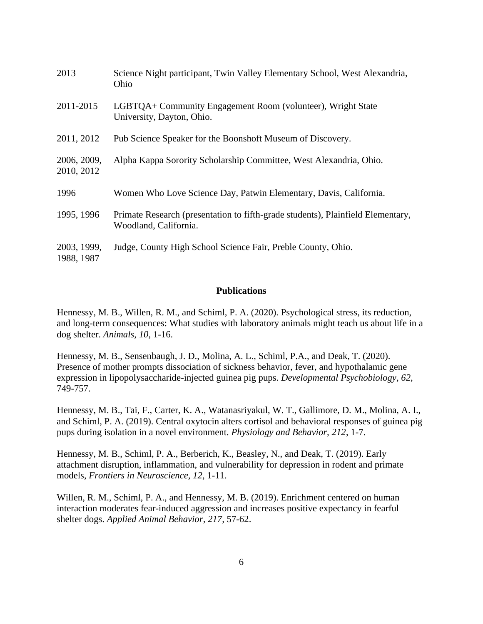| 2013                      | Science Night participant, Twin Valley Elementary School, West Alexandria,<br>Ohio                       |
|---------------------------|----------------------------------------------------------------------------------------------------------|
| 2011-2015                 | LGBTQA+ Community Engagement Room (volunteer), Wright State<br>University, Dayton, Ohio.                 |
| 2011, 2012                | Pub Science Speaker for the Boonshoft Museum of Discovery.                                               |
| 2006, 2009,<br>2010, 2012 | Alpha Kappa Sorority Scholarship Committee, West Alexandria, Ohio.                                       |
| 1996                      | Women Who Love Science Day, Patwin Elementary, Davis, California.                                        |
| 1995, 1996                | Primate Research (presentation to fifth-grade students), Plainfield Elementary,<br>Woodland, California. |
| 2003, 1999,<br>1988, 1987 | Judge, County High School Science Fair, Preble County, Ohio.                                             |

## **Publications**

Hennessy, M. B., Willen, R. M., and Schiml, P. A. (2020). Psychological stress, its reduction, and long-term consequences: What studies with laboratory animals might teach us about life in a dog shelter. *Animals, 10*, 1-16.

Hennessy, M. B., Sensenbaugh, J. D., Molina, A. L., Schiml, P.A., and Deak, T. (2020). Presence of mother prompts dissociation of sickness behavior, fever, and hypothalamic gene expression in lipopolysaccharide-injected guinea pig pups. *Developmental Psychobiology*, *62*, 749-757.

Hennessy, M. B., Tai, F., Carter, K. A., Watanasriyakul, W. T., Gallimore, D. M., Molina, A. I., and Schiml, P. A. (2019). Central oxytocin alters cortisol and behavioral responses of guinea pig pups during isolation in a novel environment. *Physiology and Behavior, 212*, 1-7.

Hennessy, M. B., Schiml, P. A., Berberich, K., Beasley, N., and Deak, T. (2019). Early attachment disruption, inflammation, and vulnerability for depression in rodent and primate models, *Frontiers in Neuroscience, 12*, 1-11.

Willen, R. M., Schiml, P. A., and Hennessy, M. B. (2019). Enrichment centered on human interaction moderates fear-induced aggression and increases positive expectancy in fearful shelter dogs. *Applied Animal Behavior, 217,* 57-62.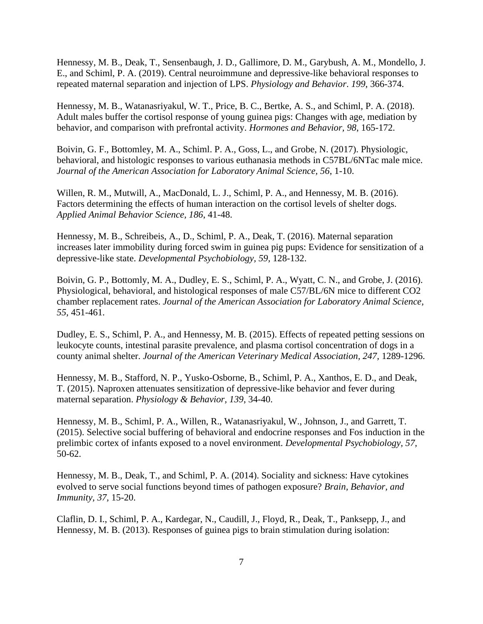Hennessy, M. B., Deak, T., Sensenbaugh, J. D., Gallimore, D. M., Garybush, A. M., Mondello, J. E., and Schiml, P. A. (2019). Central neuroimmune and depressive-like behavioral responses to repeated maternal separation and injection of LPS. *Physiology and Behavior*. *199*, 366-374.

Hennessy, M. B., Watanasriyakul, W. T., Price, B. C., Bertke, A. S., and Schiml, P. A. (2018). Adult males buffer the cortisol response of young guinea pigs: Changes with age, mediation by behavior, and comparison with prefrontal activity. *Hormones and Behavior, 98*, 165-172.

Boivin, G. F., Bottomley, M. A., Schiml. P. A., Goss, L., and Grobe, N. (2017). Physiologic, behavioral, and histologic responses to various euthanasia methods in C57BL/6NTac male mice. *Journal of the American Association for Laboratory Animal Science, 56*, 1-10.

Willen, R. M., Mutwill, A., MacDonald, L. J., Schiml, P. A., and Hennessy, M. B. (2016). Factors determining the effects of human interaction on the cortisol levels of shelter dogs. *Applied Animal Behavior Science, 186*, 41-48.

Hennessy, M. B., Schreibeis, A., D., Schiml, P. A., Deak, T. (2016). Maternal separation increases later immobility during forced swim in guinea pig pups: Evidence for sensitization of a depressive-like state. *Developmental Psychobiology, 59,* 128-132.

Boivin, G. P., Bottomly, M. A., Dudley, E. S., Schiml, P. A., Wyatt, C. N., and Grobe, J. (2016). Physiological, behavioral, and histological responses of male C57/BL/6N mice to different CO2 chamber replacement rates. *Journal of the American Association for Laboratory Animal Science, 55,* 451-461.

Dudley, E. S., Schiml, P. A., and Hennessy, M. B. (2015). Effects of repeated petting sessions on leukocyte counts, intestinal parasite prevalence, and plasma cortisol concentration of dogs in a county animal shelter. *Journal of the American Veterinary Medical Association, 247,* 1289-1296.

Hennessy, M. B., Stafford, N. P., Yusko-Osborne, B., Schiml, P. A., Xanthos, E. D., and Deak, T. (2015). Naproxen attenuates sensitization of depressive-like behavior and fever during maternal separation. *Physiology & Behavior, 139*, 34-40.

Hennessy, M. B., Schiml, P. A., Willen, R., Watanasriyakul, W., Johnson, J., and Garrett, T. (2015). Selective social buffering of behavioral and endocrine responses and Fos induction in the prelimbic cortex of infants exposed to a novel environment. *Developmental Psychobiology, 57,*  50-62.

Hennessy, M. B., Deak, T., and Schiml, P. A. (2014). Sociality and sickness: Have cytokines evolved to serve social functions beyond times of pathogen exposure? *Brain, Behavior, and Immunity, 37,* 15-20.

Claflin, D. I., Schiml, P. A., Kardegar, N., Caudill, J., Floyd, R., Deak, T., Panksepp, J., and Hennessy, M. B. (2013). Responses of guinea pigs to brain stimulation during isolation: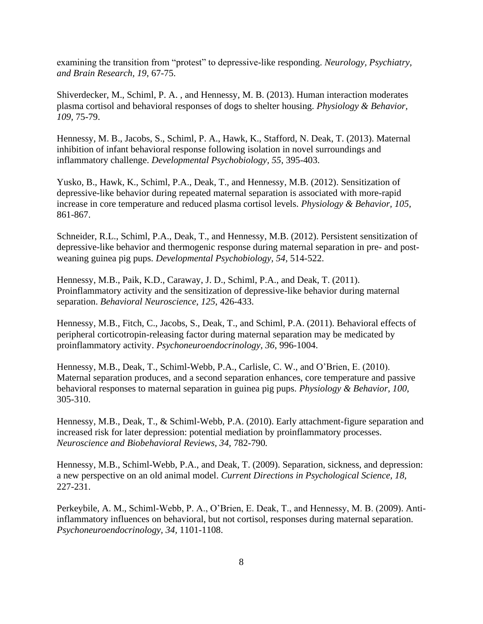examining the transition from "protest" to depressive-like responding. *Neurology, Psychiatry, and Brain Research, 19*, 67-75.

Shiverdecker, M., Schiml, P. A. , and Hennessy, M. B. (2013). Human interaction moderates plasma cortisol and behavioral responses of dogs to shelter housing. *Physiology & Behavior, 109,* 75-79.

Hennessy, M. B., Jacobs, S., Schiml, P. A., Hawk, K., Stafford, N. Deak, T. (2013). Maternal inhibition of infant behavioral response following isolation in novel surroundings and inflammatory challenge. *Developmental Psychobiology, 55*, 395-403.

Yusko, B., Hawk, K., Schiml, P.A., Deak, T., and Hennessy, M.B. (2012). Sensitization of depressive-like behavior during repeated maternal separation is associated with more-rapid increase in core temperature and reduced plasma cortisol levels. *Physiology & Behavior, 105,* 861-867.

Schneider, R.L., Schiml, P.A., Deak, T., and Hennessy, M.B. (2012). Persistent sensitization of depressive-like behavior and thermogenic response during maternal separation in pre- and postweaning guinea pig pups. *Developmental Psychobiology, 54,* 514-522.

Hennessy, M.B., Paik, K.D., Caraway, J. D., Schiml, P.A., and Deak, T. (2011). Proinflammatory activity and the sensitization of depressive-like behavior during maternal separation. *Behavioral Neuroscience*, *125*, 426-433.

Hennessy, M.B., Fitch, C., Jacobs, S., Deak, T., and Schiml, P.A. (2011). Behavioral effects of peripheral corticotropin-releasing factor during maternal separation may be medicated by proinflammatory activity. *Psychoneuroendocrinology, 36*, 996-1004.

Hennessy, M.B., Deak, T., Schiml-Webb, P.A., Carlisle, C. W., and O'Brien, E. (2010). Maternal separation produces, and a second separation enhances, core temperature and passive behavioral responses to maternal separation in guinea pig pups. *Physiology & Behavior, 100,*  305-310.

Hennessy, M.B., Deak, T., & Schiml-Webb, P.A. (2010). Early attachment-figure separation and increased risk for later depression: potential mediation by proinflammatory processes. *Neuroscience and Biobehavioral Reviews, 34,* 782-790*.*

Hennessy, M.B., Schiml-Webb, P.A., and Deak, T. (2009). Separation, sickness, and depression: a new perspective on an old animal model. *Current Directions in Psychological Science, 18,*  227-231.

Perkeybile, A. M., Schiml-Webb, P. A., O'Brien, E. Deak, T., and Hennessy, M. B. (2009). Antiinflammatory influences on behavioral, but not cortisol, responses during maternal separation. *Psychoneuroendocrinology, 34,* 1101-1108.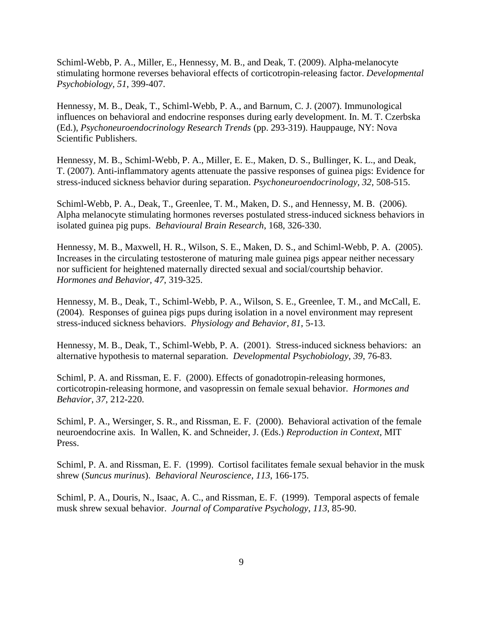Schiml-Webb, P. A., Miller, E., Hennessy, M. B., and Deak, T. (2009). Alpha-melanocyte stimulating hormone reverses behavioral effects of corticotropin-releasing factor. *Developmental Psychobiology, 51*, 399-407.

Hennessy, M. B., Deak, T., Schiml-Webb, P. A., and Barnum, C. J. (2007). Immunological influences on behavioral and endocrine responses during early development. In. M. T. Czerbska (Ed.), *Psychoneuroendocrinology Research Trends* (pp. 293-319). Hauppauge, NY: Nova Scientific Publishers.

Hennessy, M. B., Schiml-Webb, P. A., Miller, E. E., Maken, D. S., Bullinger, K. L., and Deak, T. (2007). Anti-inflammatory agents attenuate the passive responses of guinea pigs: Evidence for stress-induced sickness behavior during separation. *Psychoneuroendocrinology, 32*, 508-515.

Schiml-Webb, P. A., Deak, T., Greenlee, T. M., Maken, D. S., and Hennessy, M. B. (2006). Alpha melanocyte stimulating hormones reverses postulated stress-induced sickness behaviors in isolated guinea pig pups. *Behavioural Brain Research*, 168, 326-330.

Hennessy, M. B., Maxwell, H. R., Wilson, S. E., Maken, D. S., and Schiml-Webb, P. A. (2005). Increases in the circulating testosterone of maturing male guinea pigs appear neither necessary nor sufficient for heightened maternally directed sexual and social/courtship behavior. *Hormones and Behavior, 47*, 319-325.

Hennessy, M. B., Deak, T., Schiml-Webb, P. A., Wilson, S. E., Greenlee, T. M., and McCall, E. (2004). Responses of guinea pigs pups during isolation in a novel environment may represent stress-induced sickness behaviors. *Physiology and Behavior*, *81*, 5-13.

Hennessy, M. B., Deak, T., Schiml-Webb, P. A. (2001). Stress-induced sickness behaviors: an alternative hypothesis to maternal separation. *Developmental Psychobiology*, *39*, 76-83.

Schiml, P. A. and Rissman, E. F. (2000). Effects of gonadotropin-releasing hormones, corticotropin-releasing hormone, and vasopressin on female sexual behavior. *Hormones and Behavior*, *37*, 212-220.

Schiml, P. A., Wersinger, S. R., and Rissman, E. F. (2000). Behavioral activation of the female neuroendocrine axis. In Wallen, K. and Schneider, J. (Eds.) *Reproduction in Context*, MIT Press.

Schiml, P. A. and Rissman, E. F. (1999). Cortisol facilitates female sexual behavior in the musk shrew (*Suncus murinus*). *Behavioral Neuroscience*, *113*, 166-175.

Schiml, P. A., Douris, N., Isaac, A. C., and Rissman, E. F. (1999). Temporal aspects of female musk shrew sexual behavior. *Journal of Comparative Psychology*, *113*, 85-90.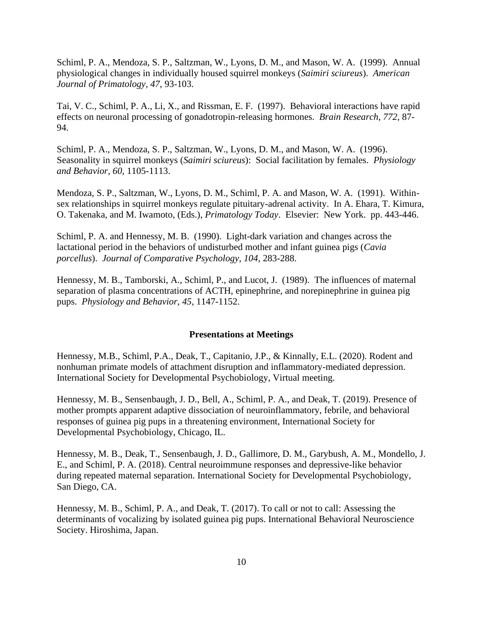Schiml, P. A., Mendoza, S. P., Saltzman, W., Lyons, D. M., and Mason, W. A. (1999). Annual physiological changes in individually housed squirrel monkeys (*Saimiri sciureus*). *American Journal of Primatology, 47*, 93-103.

Tai, V. C., Schiml, P. A., Li, X., and Rissman, E. F. (1997). Behavioral interactions have rapid effects on neuronal processing of gonadotropin-releasing hormones. *Brain Research*, *772*, 87- 94.

Schiml, P. A., Mendoza, S. P., Saltzman, W., Lyons, D. M., and Mason, W. A. (1996). Seasonality in squirrel monkeys (*Saimiri sciureus*): Social facilitation by females. *Physiology and Behavior*, *60*, 1105-1113.

Mendoza, S. P., Saltzman, W., Lyons, D. M., Schiml, P. A. and Mason, W. A. (1991). Withinsex relationships in squirrel monkeys regulate pituitary-adrenal activity. In A. Ehara, T. Kimura, O. Takenaka, and M. Iwamoto, (Eds.), *Primatology Today*. Elsevier: New York. pp. 443-446.

Schiml, P. A. and Hennessy, M. B. (1990). Light-dark variation and changes across the lactational period in the behaviors of undisturbed mother and infant guinea pigs (*Cavia porcellus*). *Journal of Comparative Psychology, 104*, 283-288.

Hennessy, M. B., Tamborski, A., Schiml, P., and Lucot, J. (1989). The influences of maternal separation of plasma concentrations of ACTH, epinephrine, and norepinephrine in guinea pig pups. *Physiology and Behavior, 45*, 1147-1152.

#### **Presentations at Meetings**

Hennessy, M.B., Schiml, P.A., Deak, T., Capitanio, J.P., & Kinnally, E.L. (2020). Rodent and nonhuman primate models of attachment disruption and inflammatory-mediated depression. International Society for Developmental Psychobiology, Virtual meeting.

Hennessy, M. B., Sensenbaugh, J. D., Bell, A., Schiml, P. A., and Deak, T. (2019). Presence of mother prompts apparent adaptive dissociation of neuroinflammatory, febrile, and behavioral responses of guinea pig pups in a threatening environment, International Society for Developmental Psychobiology, Chicago, IL.

Hennessy, M. B., Deak, T., Sensenbaugh, J. D., Gallimore, D. M., Garybush, A. M., Mondello, J. E., and Schiml, P. A. (2018). Central neuroimmune responses and depressive-like behavior during repeated maternal separation. International Society for Developmental Psychobiology, San Diego, CA.

Hennessy, M. B., Schiml, P. A., and Deak, T. (2017). To call or not to call: Assessing the determinants of vocalizing by isolated guinea pig pups. International Behavioral Neuroscience Society. Hiroshima, Japan.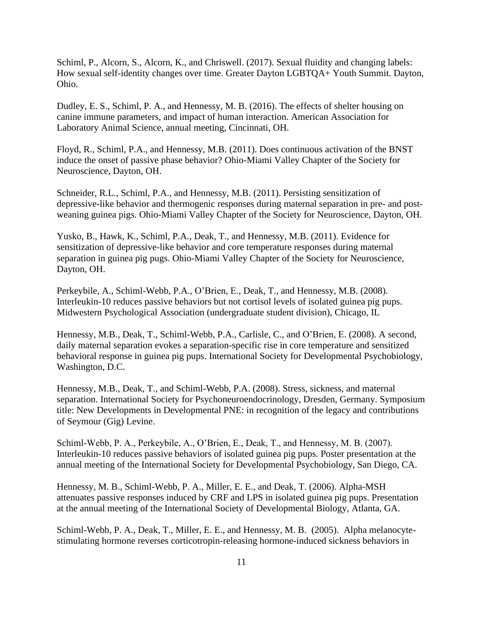Schiml, P., Alcorn, S., Alcorn, K., and Chriswell. (2017). Sexual fluidity and changing labels: How sexual self-identity changes over time. Greater Dayton LGBTQA+ Youth Summit. Dayton, Ohio.

Dudley, E. S., Schiml, P. A., and Hennessy, M. B. (2016). The effects of shelter housing on canine immune parameters, and impact of human interaction. American Association for Laboratory Animal Science, annual meeting, Cincinnati, OH.

Floyd, R., Schiml, P.A., and Hennessy, M.B. (2011). Does continuous activation of the BNST induce the onset of passive phase behavior? Ohio-Miami Valley Chapter of the Society for Neuroscience, Dayton, OH.

Schneider, R.L., Schiml, P.A., and Hennessy, M.B. (2011). Persisting sensitization of depressive-like behavior and thermogenic responses during maternal separation in pre- and postweaning guinea pigs. Ohio-Miami Valley Chapter of the Society for Neuroscience, Dayton, OH.

Yusko, B., Hawk, K., Schiml, P.A., Deak, T., and Hennessy, M.B. (2011). Evidence for sensitization of depressive-like behavior and core temperature responses during maternal separation in guinea pig pugs. Ohio-Miami Valley Chapter of the Society for Neuroscience, Dayton, OH.

Perkeybile, A., Schiml-Webb, P.A., O'Brien, E., Deak, T., and Hennessy, M.B. (2008). Interleukin-10 reduces passive behaviors but not cortisol levels of isolated guinea pig pups. Midwestern Psychological Association (undergraduate student division), Chicago, IL

Hennessy, M.B., Deak, T., Schiml-Webb, P.A., Carlisle, C., and O'Brien, E. (2008). A second, daily maternal separation evokes a separation-specific rise in core temperature and sensitized behavioral response in guinea pig pups. International Society for Developmental Psychobiology, Washington, D.C.

Hennessy, M.B., Deak, T., and Schiml-Webb, P.A. (2008). Stress, sickness, and maternal separation. International Society for Psychoneuroendocrinology, Dresden, Germany. Symposium title: New Developments in Developmental PNE: in recognition of the legacy and contributions of Seymour (Gig) Levine.

Schiml-Webb, P. A., Perkeybile, A., O'Brien, E., Deak, T., and Hennessy, M. B. (2007). Interleukin-10 reduces passive behaviors of isolated guinea pig pups. Poster presentation at the annual meeting of the International Society for Developmental Psychobiology, San Diego, CA.

Hennessy, M. B., Schiml-Webb, P. A., Miller, E. E., and Deak, T. (2006). Alpha-MSH attenuates passive responses induced by CRF and LPS in isolated guinea pig pups. Presentation at the annual meeting of the International Society of Developmental Biology, Atlanta, GA.

Schiml-Webb, P. A., Deak, T., Miller, E. E., and Hennessy, M. B. (2005). Alpha melanocytestimulating hormone reverses corticotropin-releasing hormone-induced sickness behaviors in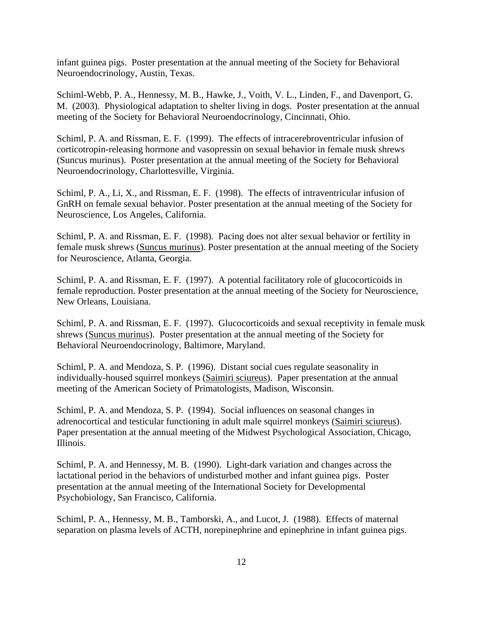infant guinea pigs. Poster presentation at the annual meeting of the Society for Behavioral Neuroendocrinology, Austin, Texas.

Schiml-Webb, P. A., Hennessy, M. B., Hawke, J., Voith, V. L., Linden, F., and Davenport, G. M. (2003). Physiological adaptation to shelter living in dogs. Poster presentation at the annual meeting of the Society for Behavioral Neuroendocrinology, Cincinnati, Ohio.

Schiml, P. A. and Rissman, E. F. (1999). The effects of intracerebroventricular infusion of corticotropin-releasing hormone and vasopressin on sexual behavior in female musk shrews (Suncus murinus). Poster presentation at the annual meeting of the Society for Behavioral Neuroendocrinology, Charlottesville, Virginia.

Schiml, P. A., Li, X., and Rissman, E. F. (1998). The effects of intraventricular infusion of GnRH on female sexual behavior. Poster presentation at the annual meeting of the Society for Neuroscience, Los Angeles, California.

Schiml, P. A. and Rissman, E. F. (1998). Pacing does not alter sexual behavior or fertility in female musk shrews (Suncus murinus). Poster presentation at the annual meeting of the Society for Neuroscience, Atlanta, Georgia.

Schiml, P. A. and Rissman, E. F. (1997). A potential facilitatory role of glucocorticoids in female reproduction. Poster presentation at the annual meeting of the Society for Neuroscience, New Orleans, Louisiana.

Schiml, P. A. and Rissman, E. F. (1997). Glucocorticoids and sexual receptivity in female musk shrews (Suncus murinus). Poster presentation at the annual meeting of the Society for Behavioral Neuroendocrinology, Baltimore, Maryland.

Schiml, P. A. and Mendoza, S. P. (1996). Distant social cues regulate seasonality in individually-housed squirrel monkeys (Saimiri sciureus). Paper presentation at the annual meeting of the American Society of Primatologists, Madison, Wisconsin.

Schiml, P. A. and Mendoza, S. P. (1994). Social influences on seasonal changes in adrenocortical and testicular functioning in adult male squirrel monkeys (Saimiri sciureus). Paper presentation at the annual meeting of the Midwest Psychological Association, Chicago, Illinois.

Schiml, P. A. and Hennessy, M. B. (1990). Light-dark variation and changes across the lactational period in the behaviors of undisturbed mother and infant guinea pigs. Poster presentation at the annual meeting of the International Society for Developmental Psychobiology, San Francisco, California.

Schiml, P. A., Hennessy, M. B., Tamborski, A., and Lucot, J. (1988). Effects of maternal separation on plasma levels of ACTH, norepinephrine and epinephrine in infant guinea pigs.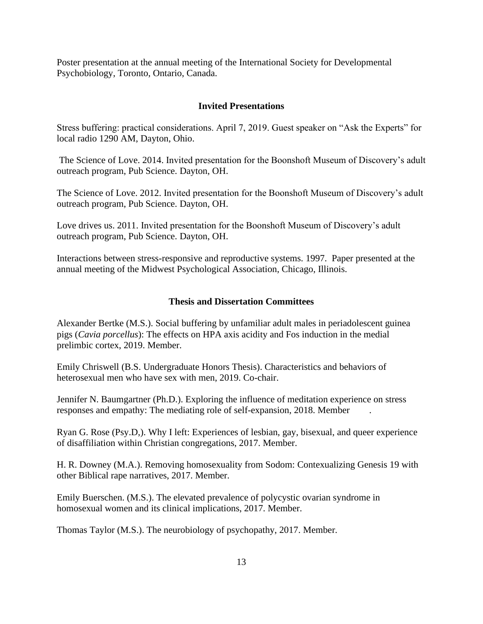Poster presentation at the annual meeting of the International Society for Developmental Psychobiology, Toronto, Ontario, Canada.

# **Invited Presentations**

Stress buffering: practical considerations. April 7, 2019. Guest speaker on "Ask the Experts" for local radio 1290 AM, Dayton, Ohio.

The Science of Love. 2014. Invited presentation for the Boonshoft Museum of Discovery's adult outreach program, Pub Science. Dayton, OH.

The Science of Love. 2012. Invited presentation for the Boonshoft Museum of Discovery's adult outreach program, Pub Science. Dayton, OH.

Love drives us. 2011. Invited presentation for the Boonshoft Museum of Discovery's adult outreach program, Pub Science. Dayton, OH.

Interactions between stress-responsive and reproductive systems. 1997. Paper presented at the annual meeting of the Midwest Psychological Association, Chicago, Illinois.

# **Thesis and Dissertation Committees**

Alexander Bertke (M.S.). Social buffering by unfamiliar adult males in periadolescent guinea pigs (*Cavia porcellus*): The effects on HPA axis acidity and Fos induction in the medial prelimbic cortex, 2019. Member.

Emily Chriswell (B.S. Undergraduate Honors Thesis). Characteristics and behaviors of heterosexual men who have sex with men, 2019. Co-chair.

Jennifer N. Baumgartner (Ph.D.). Exploring the influence of meditation experience on stress responses and empathy: The mediating role of self-expansion, 2018. Member .

Ryan G. Rose (Psy.D,). Why I left: Experiences of lesbian, gay, bisexual, and queer experience of disaffiliation within Christian congregations, 2017. Member.

H. R. Downey (M.A.). Removing homosexuality from Sodom: Contexualizing Genesis 19 with other Biblical rape narratives, 2017. Member.

Emily Buerschen. (M.S.). The elevated prevalence of polycystic ovarian syndrome in homosexual women and its clinical implications, 2017. Member.

Thomas Taylor (M.S.). The neurobiology of psychopathy, 2017. Member.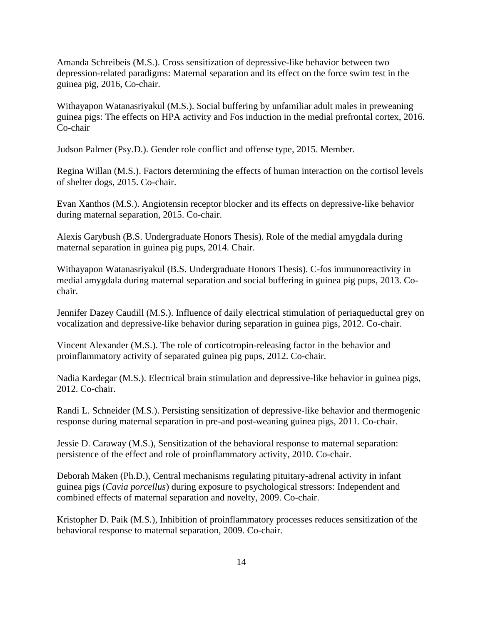Amanda Schreibeis (M.S.). Cross sensitization of depressive-like behavior between two depression-related paradigms: Maternal separation and its effect on the force swim test in the guinea pig, 2016, Co-chair.

Withayapon Watanasriyakul (M.S.). Social buffering by unfamiliar adult males in preweaning guinea pigs: The effects on HPA activity and Fos induction in the medial prefrontal cortex, 2016. Co-chair

Judson Palmer (Psy.D.). Gender role conflict and offense type, 2015. Member.

Regina Willan (M.S.). Factors determining the effects of human interaction on the cortisol levels of shelter dogs, 2015. Co-chair.

Evan Xanthos (M.S.). Angiotensin receptor blocker and its effects on depressive-like behavior during maternal separation, 2015. Co-chair.

Alexis Garybush (B.S. Undergraduate Honors Thesis). Role of the medial amygdala during maternal separation in guinea pig pups, 2014. Chair.

Withayapon Watanasriyakul (B.S. Undergraduate Honors Thesis). C-fos immunoreactivity in medial amygdala during maternal separation and social buffering in guinea pig pups, 2013. Cochair.

Jennifer Dazey Caudill (M.S.). Influence of daily electrical stimulation of periaqueductal grey on vocalization and depressive-like behavior during separation in guinea pigs, 2012. Co-chair.

Vincent Alexander (M.S.). The role of corticotropin-releasing factor in the behavior and proinflammatory activity of separated guinea pig pups, 2012. Co-chair.

Nadia Kardegar (M.S.). Electrical brain stimulation and depressive-like behavior in guinea pigs, 2012. Co-chair.

Randi L. Schneider (M.S.). Persisting sensitization of depressive-like behavior and thermogenic response during maternal separation in pre-and post-weaning guinea pigs, 2011. Co-chair.

Jessie D. Caraway (M.S.), Sensitization of the behavioral response to maternal separation: persistence of the effect and role of proinflammatory activity, 2010. Co-chair.

Deborah Maken (Ph.D.), Central mechanisms regulating pituitary-adrenal activity in infant guinea pigs (*Cavia porcellus*) during exposure to psychological stressors: Independent and combined effects of maternal separation and novelty, 2009. Co-chair.

Kristopher D. Paik (M.S.), Inhibition of proinflammatory processes reduces sensitization of the behavioral response to maternal separation, 2009. Co-chair.